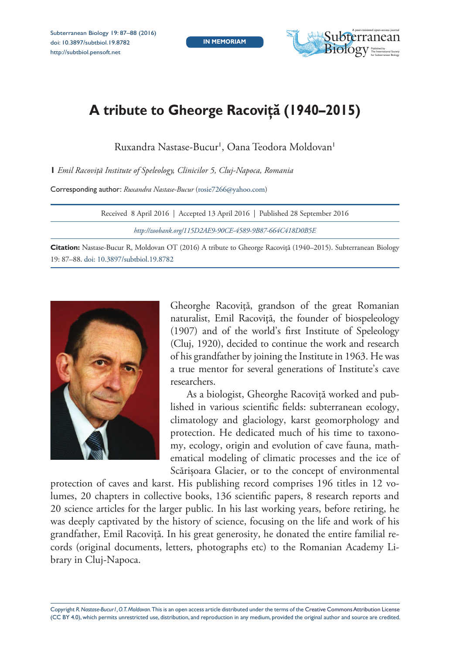

## **A tribute to Gheorge Racoviţă (1940–2015)**

Ruxandra Nastase-Bucur', Oana Teodora Moldovan'

**1** *Emil Racoviţă Institute of Speleology, Clinicilor 5, Cluj-Napoca, Romania*

Corresponding author: *Ruxandra Nastase-Bucur* ([rosie7266@yahoo.com\)](mailto:rosie7266@yahoo.com)

| Received 8 April 2016   Accepted 13 April 2016   Published 28 September 2016 |
|------------------------------------------------------------------------------|
| http://zoobank.org/115D2AE9-90CE-4589-9B87-664C418D0B5E                      |
|                                                                              |

**Citation:** Nastase-Bucur R, Moldovan OT (2016) A tribute to Gheorge Racoviţă (1940–2015). Subterranean Biology 19: 87–88. [doi: 10.3897/subtbiol.19.8782](http://dx.doi.org/10.3897/subtbiol.19.8782)



Gheorghe Racoviţă, grandson of the great Romanian naturalist, Emil Racoviţă, the founder of biospeleology (1907) and of the world's first Institute of Speleology (Cluj, 1920), decided to continue the work and research of his grandfather by joining the Institute in 1963. He was a true mentor for several generations of Institute's cave researchers.

As a biologist, Gheorghe Racoviță worked and published in various scientific fields: subterranean ecology, climatology and glaciology, karst geomorphology and protection. He dedicated much of his time to taxonomy, ecology, origin and evolution of cave fauna, mathematical modeling of climatic processes and the ice of Scărişoara Glacier, or to the concept of environmental

protection of caves and karst. His publishing record comprises 196 titles in 12 volumes, 20 chapters in collective books, 136 scientific papers, 8 research reports and 20 science articles for the larger public. In his last working years, before retiring, he was deeply captivated by the history of science, focusing on the life and work of his grandfather, Emil Racoviță. In his great generosity, he donated the entire familial records (original documents, letters, photographs etc) to the Romanian Academy Library in Cluj-Napoca.